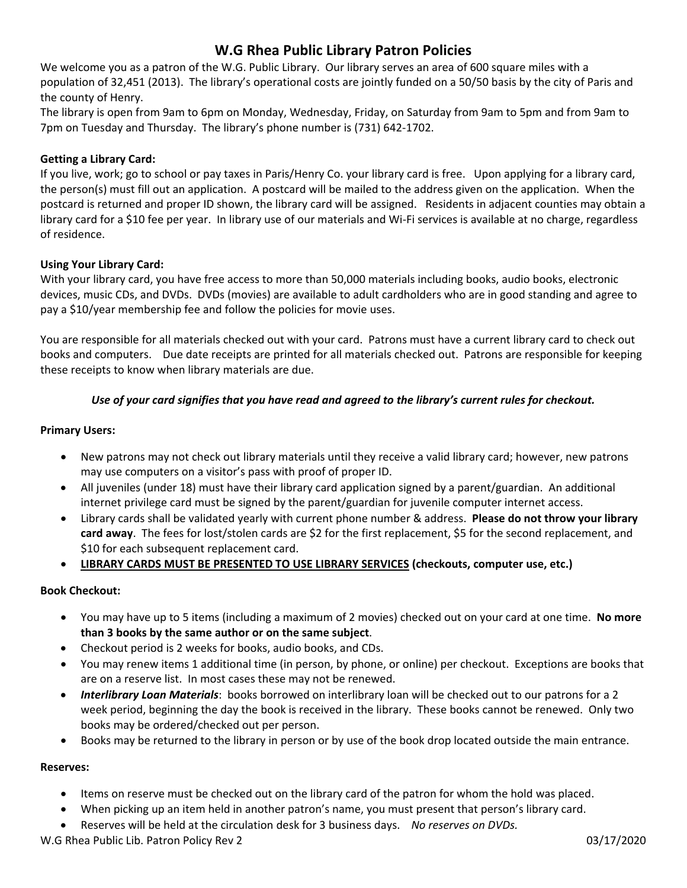# **W.G Rhea Public Library Patron Policies**

We welcome you as a patron of the W.G. Public Library. Our library serves an area of 600 square miles with a population of 32,451 (2013). The library's operational costs are jointly funded on a 50/50 basis by the city of Paris and the county of Henry.

The library is open from 9am to 6pm on Monday, Wednesday, Friday, on Saturday from 9am to 5pm and from 9am to 7pm on Tuesday and Thursday. The library's phone number is (731) 642‐1702.

## **Getting a Library Card:**

If you live, work; go to school or pay taxes in Paris/Henry Co. your library card is free. Upon applying for a library card, the person(s) must fill out an application. A postcard will be mailed to the address given on the application. When the postcard is returned and proper ID shown, the library card will be assigned. Residents in adjacent counties may obtain a library card for a \$10 fee per year. In library use of our materials and Wi‐Fi services is available at no charge, regardless of residence.

## **Using Your Library Card:**

With your library card, you have free access to more than 50,000 materials including books, audio books, electronic devices, music CDs, and DVDs. DVDs (movies) are available to adult cardholders who are in good standing and agree to pay a \$10/year membership fee and follow the policies for movie uses.

You are responsible for all materials checked out with your card. Patrons must have a current library card to check out books and computers. Due date receipts are printed for all materials checked out. Patrons are responsible for keeping these receipts to know when library materials are due.

## Use of your card signifies that you have read and agreed to the library's current rules for checkout.

## **Primary Users:**

- New patrons may not check out library materials until they receive a valid library card; however, new patrons may use computers on a visitor's pass with proof of proper ID.
- All juveniles (under 18) must have their library card application signed by a parent/guardian. An additional internet privilege card must be signed by the parent/guardian for juvenile computer internet access.
- Library cards shall be validated yearly with current phone number & address. **Please do not throw your library card away**. The fees for lost/stolen cards are \$2 for the first replacement, \$5 for the second replacement, and \$10 for each subsequent replacement card.
- **LIBRARY CARDS MUST BE PRESENTED TO USE LIBRARY SERVICES (checkouts, computer use, etc.)**

## **Book Checkout:**

- You may have up to 5 items (including a maximum of 2 movies) checked out on your card at one time. **No more than 3 books by the same author or on the same subject**.
- Checkout period is 2 weeks for books, audio books, and CDs.
- You may renew items 1 additional time (in person, by phone, or online) per checkout. Exceptions are books that are on a reserve list. In most cases these may not be renewed.
- *Interlibrary Loan Materials*: books borrowed on interlibrary loan will be checked out to our patrons for a 2 week period, beginning the day the book is received in the library. These books cannot be renewed. Only two books may be ordered/checked out per person.
- Books may be returned to the library in person or by use of the book drop located outside the main entrance.

## **Reserves:**

- Items on reserve must be checked out on the library card of the patron for whom the hold was placed.
- When picking up an item held in another patron's name, you must present that person's library card.
- Reserves will be held at the circulation desk for 3 business days. *No reserves on DVDs.*

W.G Rhea Public Lib. Patron Policy Rev 2 03/17/2020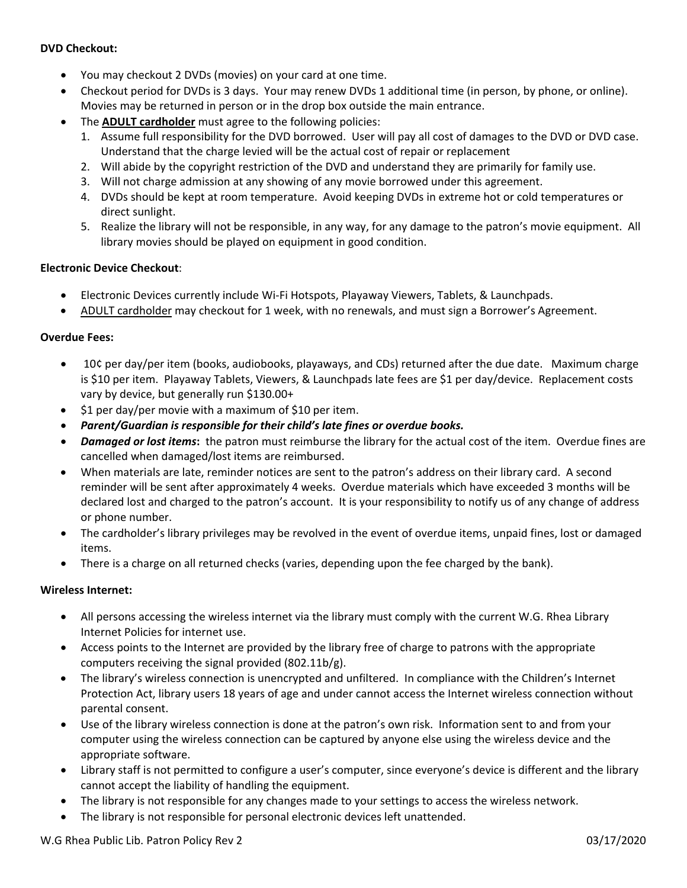#### **DVD Checkout:**

- You may checkout 2 DVDs (movies) on your card at one time.
- Checkout period for DVDs is 3 days. Your may renew DVDs 1 additional time (in person, by phone, or online). Movies may be returned in person or in the drop box outside the main entrance.
- The **ADULT cardholder** must agree to the following policies:
	- 1. Assume full responsibility for the DVD borrowed. User will pay all cost of damages to the DVD or DVD case. Understand that the charge levied will be the actual cost of repair or replacement
	- 2. Will abide by the copyright restriction of the DVD and understand they are primarily for family use.
	- 3. Will not charge admission at any showing of any movie borrowed under this agreement.
	- 4. DVDs should be kept at room temperature. Avoid keeping DVDs in extreme hot or cold temperatures or direct sunlight.
	- 5. Realize the library will not be responsible, in any way, for any damage to the patron's movie equipment. All library movies should be played on equipment in good condition.

### **Electronic Device Checkout**:

- Electronic Devices currently include Wi‐Fi Hotspots, Playaway Viewers, Tablets, & Launchpads.
- ADULT cardholder may checkout for 1 week, with no renewals, and must sign a Borrower's Agreement.

#### **Overdue Fees:**

- 10¢ per day/per item (books, audiobooks, playaways, and CDs) returned after the due date. Maximum charge is \$10 per item. Playaway Tablets, Viewers, & Launchpads late fees are \$1 per day/device. Replacement costs vary by device, but generally run \$130.00+
- $\bullet$  \$1 per day/per movie with a maximum of \$10 per item.
- *Parent/Guardian is responsible for their child's late fines or overdue books.*
- *Damaged or lost items***:** the patron must reimburse the library for the actual cost of the item. Overdue fines are cancelled when damaged/lost items are reimbursed.
- When materials are late, reminder notices are sent to the patron's address on their library card. A second reminder will be sent after approximately 4 weeks. Overdue materials which have exceeded 3 months will be declared lost and charged to the patron's account. It is your responsibility to notify us of any change of address or phone number.
- The cardholder's library privileges may be revolved in the event of overdue items, unpaid fines, lost or damaged items.
- There is a charge on all returned checks (varies, depending upon the fee charged by the bank).

#### **Wireless Internet:**

- All persons accessing the wireless internet via the library must comply with the current W.G. Rhea Library Internet Policies for internet use.
- Access points to the Internet are provided by the library free of charge to patrons with the appropriate computers receiving the signal provided (802.11b/g).
- The library's wireless connection is unencrypted and unfiltered. In compliance with the Children's Internet Protection Act, library users 18 years of age and under cannot access the Internet wireless connection without parental consent.
- Use of the library wireless connection is done at the patron's own risk. Information sent to and from your computer using the wireless connection can be captured by anyone else using the wireless device and the appropriate software.
- Library staff is not permitted to configure a user's computer, since everyone's device is different and the library cannot accept the liability of handling the equipment.
- The library is not responsible for any changes made to your settings to access the wireless network.
- The library is not responsible for personal electronic devices left unattended.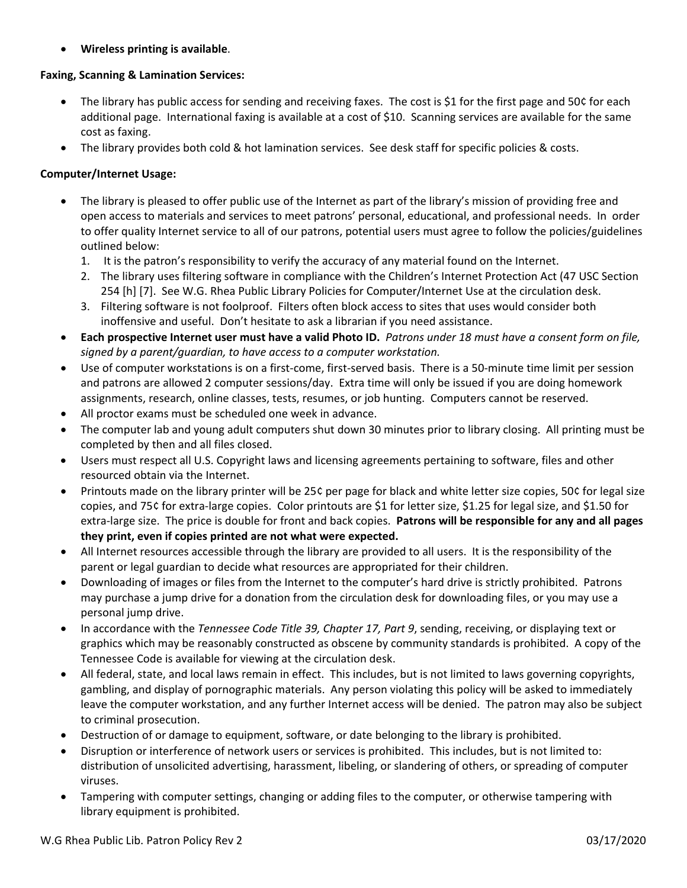**Wireless printing is available**.

## **Faxing, Scanning & Lamination Services:**

- The library has public access for sending and receiving faxes. The cost is \$1 for the first page and 50¢ for each additional page. International faxing is available at a cost of \$10. Scanning services are available for the same cost as faxing.
- The library provides both cold & hot lamination services. See desk staff for specific policies & costs.

## **Computer/Internet Usage:**

- The library is pleased to offer public use of the Internet as part of the library's mission of providing free and open access to materials and services to meet patrons' personal, educational, and professional needs. In order to offer quality Internet service to all of our patrons, potential users must agree to follow the policies/guidelines outlined below:
	- 1. It is the patron's responsibility to verify the accuracy of any material found on the Internet.
	- 2. The library uses filtering software in compliance with the Children's Internet Protection Act (47 USC Section 254 [h] [7]. See W.G. Rhea Public Library Policies for Computer/Internet Use at the circulation desk.
	- 3. Filtering software is not foolproof. Filters often block access to sites that uses would consider both inoffensive and useful. Don't hesitate to ask a librarian if you need assistance.
- Each prospective Internet user must have a valid Photo ID. Patrons under 18 must have a consent form on file, *signed by a parent/guardian, to have access to a computer workstation.*
- Use of computer workstations is on a first‐come, first‐served basis. There is a 50‐minute time limit per session and patrons are allowed 2 computer sessions/day. Extra time will only be issued if you are doing homework assignments, research, online classes, tests, resumes, or job hunting. Computers cannot be reserved.
- All proctor exams must be scheduled one week in advance.
- The computer lab and young adult computers shut down 30 minutes prior to library closing. All printing must be completed by then and all files closed.
- Users must respect all U.S. Copyright laws and licensing agreements pertaining to software, files and other resourced obtain via the Internet.
- Printouts made on the library printer will be 25¢ per page for black and white letter size copies, 50¢ for legal size copies, and 75¢ for extra‐large copies. Color printouts are \$1 for letter size, \$1.25 for legal size, and \$1.50 for extra‐large size. The price is double for front and back copies. **Patrons will be responsible for any and all pages they print, even if copies printed are not what were expected.**
- All Internet resources accessible through the library are provided to all users. It is the responsibility of the parent or legal guardian to decide what resources are appropriated for their children.
- Downloading of images or files from the Internet to the computer's hard drive is strictly prohibited. Patrons may purchase a jump drive for a donation from the circulation desk for downloading files, or you may use a personal jump drive.
- In accordance with the *Tennessee Code Title 39, Chapter 17, Part 9*, sending, receiving, or displaying text or graphics which may be reasonably constructed as obscene by community standards is prohibited. A copy of the Tennessee Code is available for viewing at the circulation desk.
- All federal, state, and local laws remain in effect. This includes, but is not limited to laws governing copyrights, gambling, and display of pornographic materials. Any person violating this policy will be asked to immediately leave the computer workstation, and any further Internet access will be denied. The patron may also be subject to criminal prosecution.
- Destruction of or damage to equipment, software, or date belonging to the library is prohibited.
- Disruption or interference of network users or services is prohibited. This includes, but is not limited to: distribution of unsolicited advertising, harassment, libeling, or slandering of others, or spreading of computer viruses.
- Tampering with computer settings, changing or adding files to the computer, or otherwise tampering with library equipment is prohibited.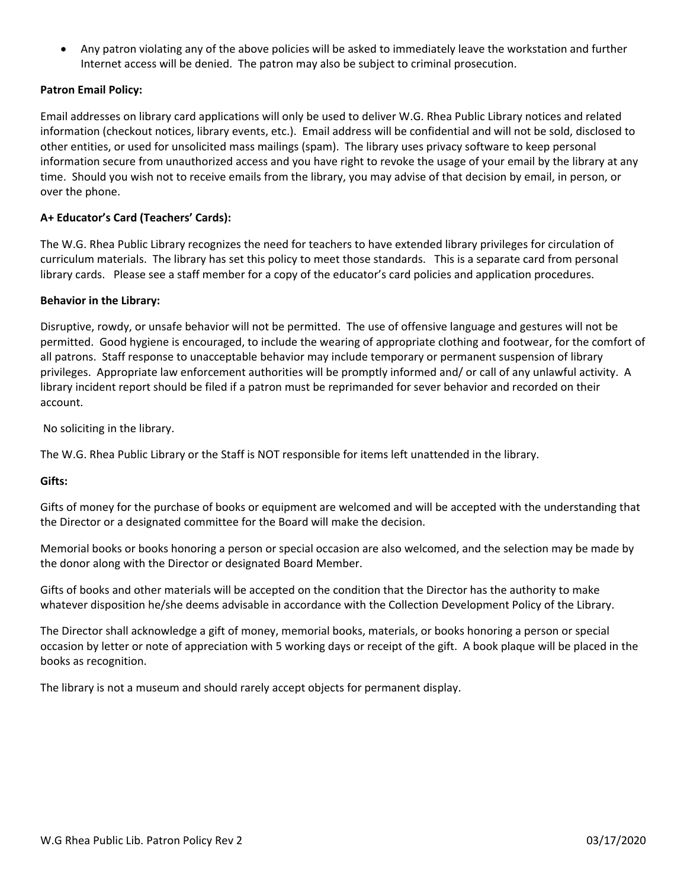Any patron violating any of the above policies will be asked to immediately leave the workstation and further Internet access will be denied. The patron may also be subject to criminal prosecution.

## **Patron Email Policy:**

Email addresses on library card applications will only be used to deliver W.G. Rhea Public Library notices and related information (checkout notices, library events, etc.). Email address will be confidential and will not be sold, disclosed to other entities, or used for unsolicited mass mailings (spam). The library uses privacy software to keep personal information secure from unauthorized access and you have right to revoke the usage of your email by the library at any time. Should you wish not to receive emails from the library, you may advise of that decision by email, in person, or over the phone.

## **A+ Educator's Card (Teachers' Cards):**

The W.G. Rhea Public Library recognizes the need for teachers to have extended library privileges for circulation of curriculum materials. The library has set this policy to meet those standards. This is a separate card from personal library cards. Please see a staff member for a copy of the educator's card policies and application procedures.

## **Behavior in the Library:**

Disruptive, rowdy, or unsafe behavior will not be permitted. The use of offensive language and gestures will not be permitted. Good hygiene is encouraged, to include the wearing of appropriate clothing and footwear, for the comfort of all patrons. Staff response to unacceptable behavior may include temporary or permanent suspension of library privileges. Appropriate law enforcement authorities will be promptly informed and/ or call of any unlawful activity. A library incident report should be filed if a patron must be reprimanded for sever behavior and recorded on their account.

No soliciting in the library.

The W.G. Rhea Public Library or the Staff is NOT responsible for items left unattended in the library.

## **Gifts:**

Gifts of money for the purchase of books or equipment are welcomed and will be accepted with the understanding that the Director or a designated committee for the Board will make the decision.

Memorial books or books honoring a person or special occasion are also welcomed, and the selection may be made by the donor along with the Director or designated Board Member.

Gifts of books and other materials will be accepted on the condition that the Director has the authority to make whatever disposition he/she deems advisable in accordance with the Collection Development Policy of the Library.

The Director shall acknowledge a gift of money, memorial books, materials, or books honoring a person or special occasion by letter or note of appreciation with 5 working days or receipt of the gift. A book plaque will be placed in the books as recognition.

The library is not a museum and should rarely accept objects for permanent display.